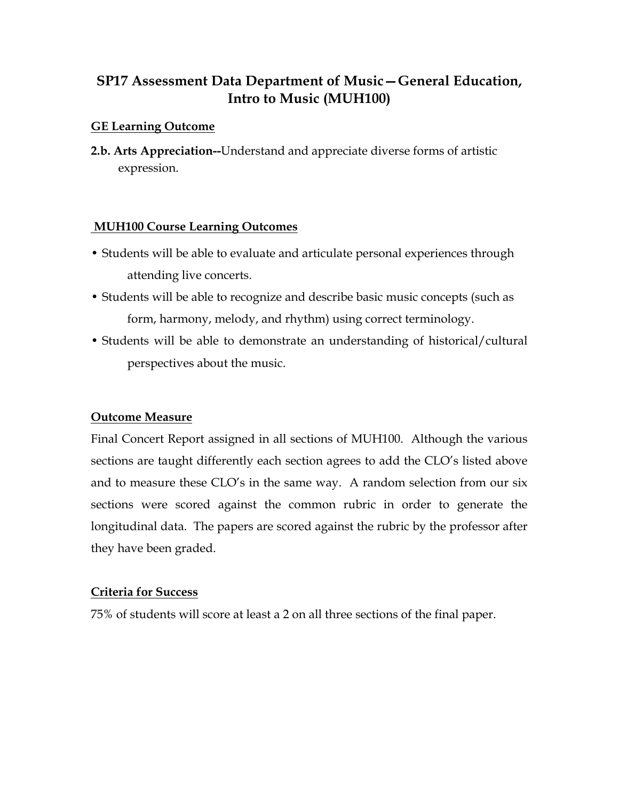# **SP17 Assessment Data Department of Music—General Education, Intro to Music (MUH100)**

#### **GE Learning Outcome**

**2.b. Arts Appreciation--**Understand and appreciate diverse forms of artistic expression.

#### **MUH100 Course Learning Outcomes**

- Students will be able to evaluate and articulate personal experiences through attending live concerts.
- Students will be able to recognize and describe basic music concepts (such as form, harmony, melody, and rhythm) using correct terminology.
- Students will be able to demonstrate an understanding of historical/cultural perspectives about the music.

### **Outcome Measure**

Final Concert Report assigned in all sections of MUH100. Although the various sections are taught differently each section agrees to add the CLO's listed above and to measure these CLO's in the same way. A random selection from our six sections were scored against the common rubric in order to generate the longitudinal data. The papers are scored against the rubric by the professor after they have been graded.

#### **Criteria for Success**

75% of students will score at least a 2 on all three sections of the final paper.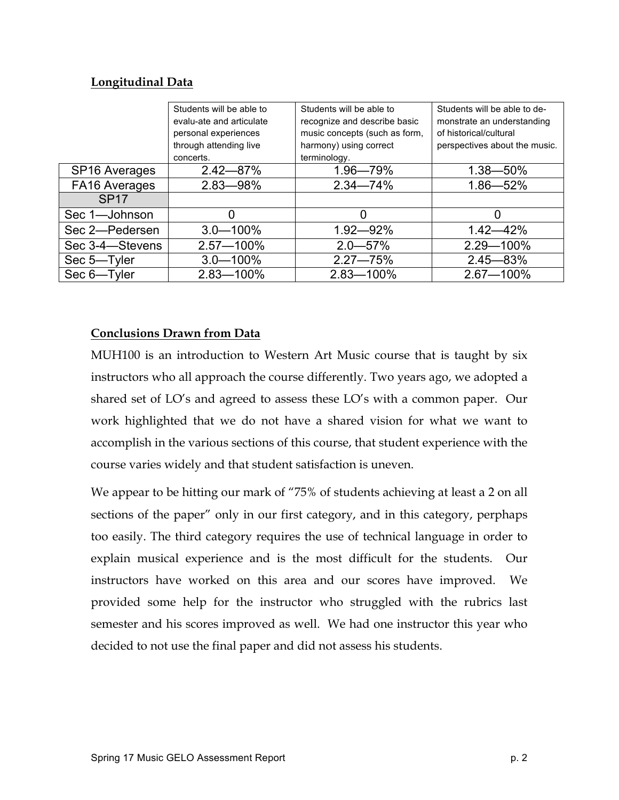## **Longitudinal Data**

|                           | Students will be able to<br>evalu-ate and articulate | Students will be able to<br>recognize and describe basic | Students will be able to de-<br>monstrate an understanding |
|---------------------------|------------------------------------------------------|----------------------------------------------------------|------------------------------------------------------------|
|                           | personal experiences                                 | music concepts (such as form,                            | of historical/cultural                                     |
|                           | through attending live                               | harmony) using correct                                   | perspectives about the music.                              |
|                           | concerts.                                            | terminology.                                             |                                                            |
| SP <sub>16</sub> Averages | $2.42 - 87%$                                         | 1.96-79%                                                 | $1.38 - 50\%$                                              |
| FA16 Averages             | 2.83-98%                                             | $2.34 - 74%$                                             | $1.86 - 52%$                                               |
| SP <sub>17</sub>          |                                                      |                                                          |                                                            |
| Sec 1-Johnson             |                                                      |                                                          |                                                            |
| Sec 2-Pedersen            | $3.0 - 100\%$                                        | $1.92 - 92\%$                                            | $1.42 - 42%$                                               |
| Sec 3-4-Stevens           | $2.57 - 100\%$                                       | $2.0 - 57\%$                                             | $2.29 - 100\%$                                             |
| Sec 5-Tyler               | $3.0 - 100\%$                                        | $2.27 - 75%$                                             | $2.45 - 83%$                                               |
| Sec 6-Tyler               | $2.83 - 100\%$                                       | $2.83 - 100\%$                                           | $2.67 - 100\%$                                             |

## **Conclusions Drawn from Data**

MUH100 is an introduction to Western Art Music course that is taught by six instructors who all approach the course differently. Two years ago, we adopted a shared set of LO's and agreed to assess these LO's with a common paper. Our work highlighted that we do not have a shared vision for what we want to accomplish in the various sections of this course, that student experience with the course varies widely and that student satisfaction is uneven.

We appear to be hitting our mark of "75% of students achieving at least a 2 on all sections of the paper" only in our first category, and in this category, perphaps too easily. The third category requires the use of technical language in order to explain musical experience and is the most difficult for the students. Our instructors have worked on this area and our scores have improved. We provided some help for the instructor who struggled with the rubrics last semester and his scores improved as well. We had one instructor this year who decided to not use the final paper and did not assess his students.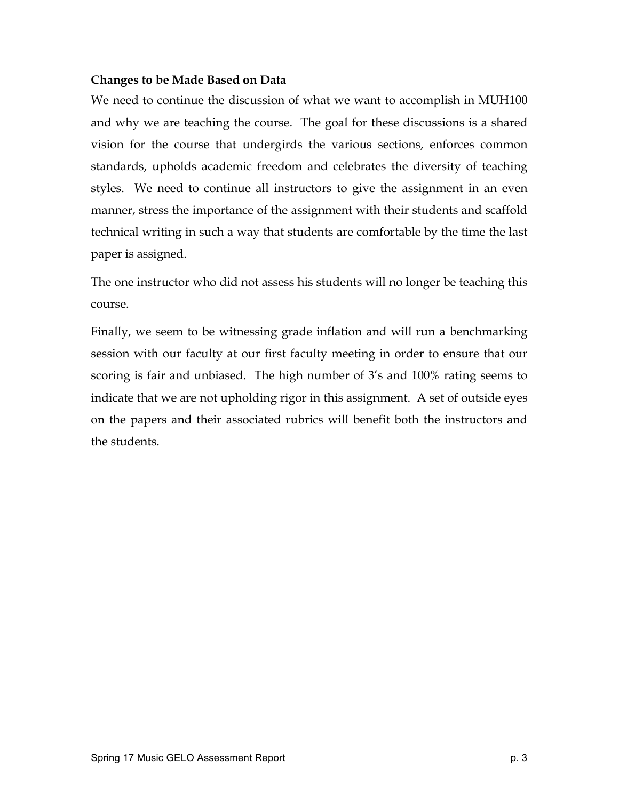## **Changes to be Made Based on Data**

We need to continue the discussion of what we want to accomplish in MUH100 and why we are teaching the course. The goal for these discussions is a shared vision for the course that undergirds the various sections, enforces common standards, upholds academic freedom and celebrates the diversity of teaching styles. We need to continue all instructors to give the assignment in an even manner, stress the importance of the assignment with their students and scaffold technical writing in such a way that students are comfortable by the time the last paper is assigned.

The one instructor who did not assess his students will no longer be teaching this course.

Finally, we seem to be witnessing grade inflation and will run a benchmarking session with our faculty at our first faculty meeting in order to ensure that our scoring is fair and unbiased. The high number of 3's and 100% rating seems to indicate that we are not upholding rigor in this assignment. A set of outside eyes on the papers and their associated rubrics will benefit both the instructors and the students.